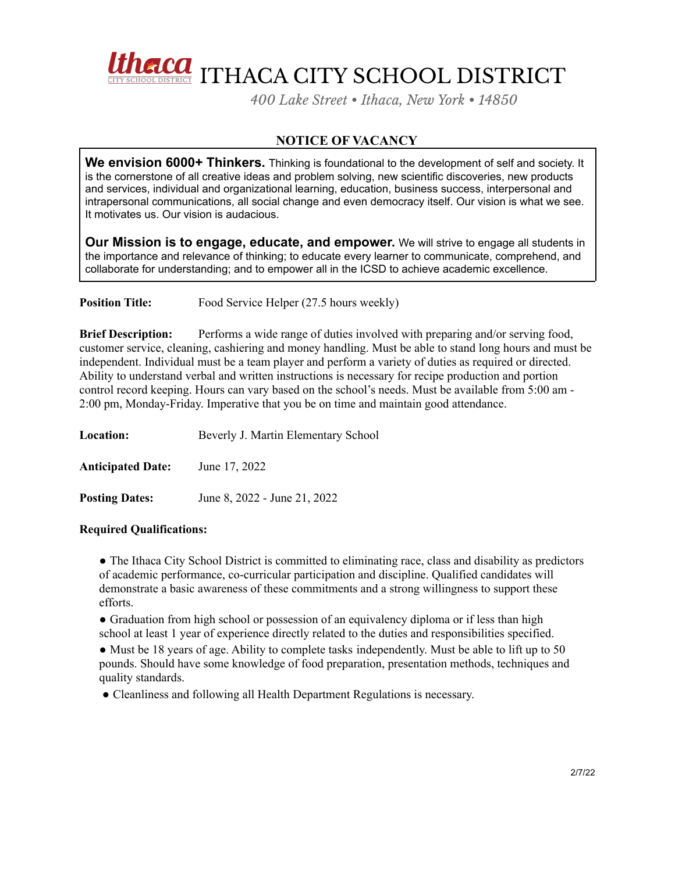

*400 Lake Street • Ithaca, New York • 14850*

## **NOTICE OF VACANCY**

**We envision 6000+ Thinkers.** Thinking is foundational to the development of self and society. It is the cornerstone of all creative ideas and problem solving, new scientific discoveries, new products and services, individual and organizational learning, education, business success, interpersonal and intrapersonal communications, all social change and even democracy itself. Our vision is what we see. It motivates us. Our vision is audacious.

**Our Mission is to engage, educate, and empower.** We will strive to engage all students in the importance and relevance of thinking; to educate every learner to communicate, comprehend, and collaborate for understanding; and to empower all in the ICSD to achieve academic excellence.

**Position Title:** Food Service Helper (27.5 hours weekly)

**Brief Description:** Performs a wide range of duties involved with preparing and/or serving food, customer service, cleaning, cashiering and money handling. Must be able to stand long hours and must be independent. Individual must be a team player and perform a variety of duties as required or directed. Ability to understand verbal and written instructions is necessary for recipe production and portion control record keeping. Hours can vary based on the school's needs. Must be available from 5:00 am - 2:00 pm, Monday-Friday. Imperative that you be on time and maintain good attendance.

| Location:                | Beverly J. Martin Elementary School |
|--------------------------|-------------------------------------|
| <b>Anticipated Date:</b> | June 17, 2022                       |
| <b>Posting Dates:</b>    | June 8, 2022 - June 21, 2022        |

## **Required Qualifications:**

● The Ithaca City School District is committed to eliminating race, class and disability as predictors of academic performance, co-curricular participation and discipline. Qualified candidates will demonstrate a basic awareness of these commitments and a strong willingness to support these efforts.

• Graduation from high school or possession of an equivalency diploma or if less than high school at least 1 year of experience directly related to the duties and responsibilities specified.

• Must be 18 years of age. Ability to complete tasks independently. Must be able to lift up to 50 pounds. Should have some knowledge of food preparation, presentation methods, techniques and quality standards.

● Cleanliness and following all Health Department Regulations is necessary.